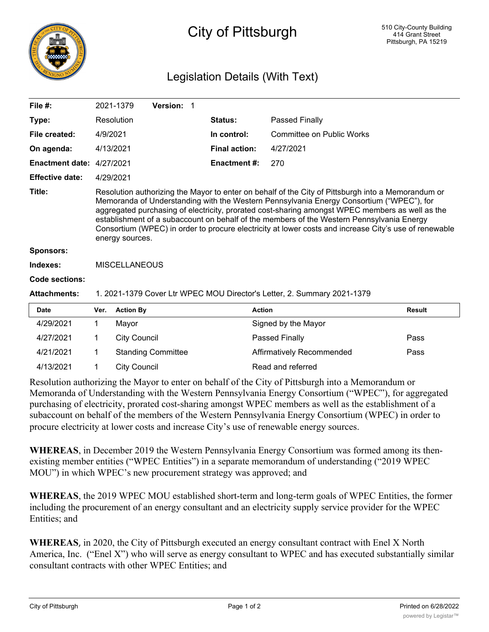

## City of Pittsburgh

## Legislation Details (With Text)

| File $#$ :             |                                                                                                                                                                                                                                                                                                                                                                                                                                                                                                                            | 2021-1379        | Version: 1 |                      |                           |               |  |  |
|------------------------|----------------------------------------------------------------------------------------------------------------------------------------------------------------------------------------------------------------------------------------------------------------------------------------------------------------------------------------------------------------------------------------------------------------------------------------------------------------------------------------------------------------------------|------------------|------------|----------------------|---------------------------|---------------|--|--|
| Type:                  |                                                                                                                                                                                                                                                                                                                                                                                                                                                                                                                            | Resolution       |            | <b>Status:</b>       | Passed Finally            |               |  |  |
| File created:          | 4/9/2021                                                                                                                                                                                                                                                                                                                                                                                                                                                                                                                   |                  |            | In control:          | Committee on Public Works |               |  |  |
| On agenda:             |                                                                                                                                                                                                                                                                                                                                                                                                                                                                                                                            | 4/13/2021        |            | <b>Final action:</b> | 4/27/2021                 |               |  |  |
| <b>Enactment date:</b> |                                                                                                                                                                                                                                                                                                                                                                                                                                                                                                                            | 4/27/2021        |            | <b>Enactment #:</b>  | 270                       |               |  |  |
| <b>Effective date:</b> |                                                                                                                                                                                                                                                                                                                                                                                                                                                                                                                            | 4/29/2021        |            |                      |                           |               |  |  |
| Title:                 | Resolution authorizing the Mayor to enter on behalf of the City of Pittsburgh into a Memorandum or<br>Memoranda of Understanding with the Western Pennsylvania Energy Consortium ("WPEC"), for<br>aggregated purchasing of electricity, prorated cost-sharing amongst WPEC members as well as the<br>establishment of a subaccount on behalf of the members of the Western Pennsylvania Energy<br>Consortium (WPEC) in order to procure electricity at lower costs and increase City's use of renewable<br>energy sources. |                  |            |                      |                           |               |  |  |
| <b>Sponsors:</b>       |                                                                                                                                                                                                                                                                                                                                                                                                                                                                                                                            |                  |            |                      |                           |               |  |  |
| Indexes:               | <b>MISCELLANEOUS</b>                                                                                                                                                                                                                                                                                                                                                                                                                                                                                                       |                  |            |                      |                           |               |  |  |
| Code sections:         |                                                                                                                                                                                                                                                                                                                                                                                                                                                                                                                            |                  |            |                      |                           |               |  |  |
| <b>Attachments:</b>    | 1. 2021-1379 Cover Ltr WPEC MOU Director's Letter, 2. Summary 2021-1379                                                                                                                                                                                                                                                                                                                                                                                                                                                    |                  |            |                      |                           |               |  |  |
| <b>Date</b>            | Ver.                                                                                                                                                                                                                                                                                                                                                                                                                                                                                                                       | <b>Action By</b> |            | <b>Action</b>        |                           | <b>Result</b> |  |  |
| 4/29/2021              |                                                                                                                                                                                                                                                                                                                                                                                                                                                                                                                            | Mayor            |            |                      | Signed by the Mayor       |               |  |  |
| $100 - 10001$          |                                                                                                                                                                                                                                                                                                                                                                                                                                                                                                                            | $\sim$ $\sim$    |            |                      |                           |               |  |  |

| 4/27/2021                                                                                                                                                                                                                                                                                                            |  | <b>City Council</b>       | Passed Finally            | Pass |  |  |  |  |
|----------------------------------------------------------------------------------------------------------------------------------------------------------------------------------------------------------------------------------------------------------------------------------------------------------------------|--|---------------------------|---------------------------|------|--|--|--|--|
| 4/21/2021                                                                                                                                                                                                                                                                                                            |  | <b>Standing Committee</b> | Affirmatively Recommended | Pass |  |  |  |  |
| 4/13/2021                                                                                                                                                                                                                                                                                                            |  | <b>City Council</b>       | Read and referred         |      |  |  |  |  |
| Resolution authorizing the Mayor to enter on behalf of the City of Pittsburgh into a Memorandum or<br>Memoranda of Understanding with the Western Pennsylvania Energy Consortium ("WPEC"), for aggregated<br>purchasing of electricity, prorated cost-sharing amongst WPEC members as well as the establishment of a |  |                           |                           |      |  |  |  |  |

subaccount on behalf of the members of the Western Pennsylvania Energy Consortium (WPEC) in order to procure electricity at lower costs and increase City's use of renewable energy sources.

**WHEREAS**, in December 2019 the Western Pennsylvania Energy Consortium was formed among its thenexisting member entities ("WPEC Entities") in a separate memorandum of understanding ("2019 WPEC MOU") in which WPEC's new procurement strategy was approved; and

**WHEREAS**, the 2019 WPEC MOU established short-term and long-term goals of WPEC Entities, the former including the procurement of an energy consultant and an electricity supply service provider for the WPEC Entities; and

**WHEREAS**, in 2020, the City of Pittsburgh executed an energy consultant contract with Enel X North America, Inc. ("Enel X") who will serve as energy consultant to WPEC and has executed substantially similar consultant contracts with other WPEC Entities; and